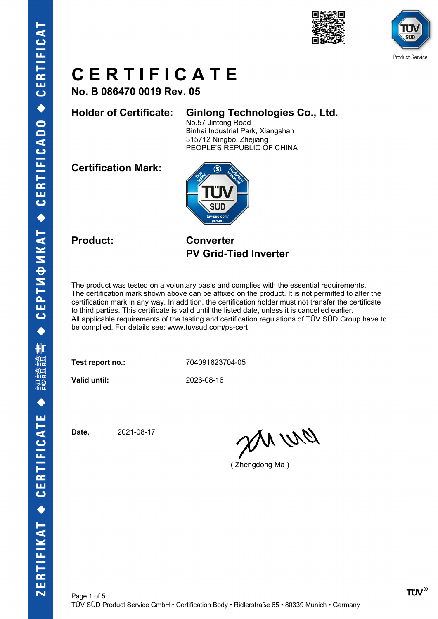



**No. B 086470 0019 Rev. 05**

#### **Holder of Certificate: Ginlong Technologies Co., Ltd.**

No.57 Jintong Road Binhai Industrial Park, Xiangshan 315712 Ningbo, Zhejiang PEOPLE'S REPUBLIC OF CHINA

**Certification Mark:**



**Product: Converter PV Grid-Tied Inverter**

The product was tested on a voluntary basis and complies with the essential requirements. The certification mark shown above can be affixed on the product. It is not permitted to alter the certification mark in any way. In addition, the certification holder must not transfer the certificate to third parties. This certificate is valid until the listed date, unless it is cancelled earlier. All applicable requirements of the testing and certification regulations of TÜV SÜD Group have to be complied. For details see: www.tuvsud.com/ps-cert

**Test report no.:** 704091623704-05

**Valid until:** 2026-08-16

**Date,** 2021-08-17

an un

( Zhengdong Ma )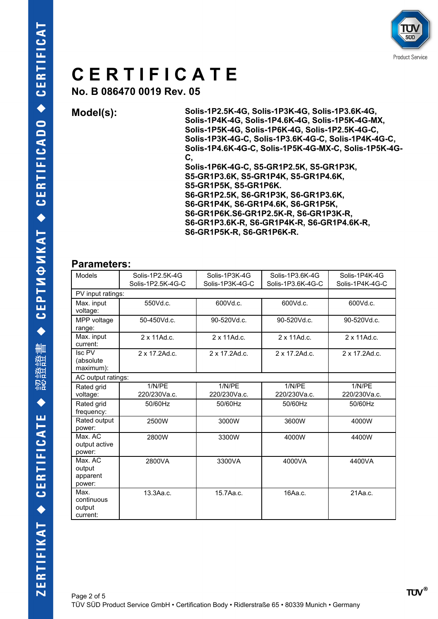

**No. B 086470 0019 Rev. 05**

**Model(s): Solis-1P2.5K-4G, Solis-1P3K-4G, Solis-1P3.6K-4G, Solis-1P4K-4G, Solis-1P4.6K-4G, Solis-1P5K-4G-MX, Solis-1P5K-4G, Solis-1P6K-4G, Solis-1P2.5K-4G-C, Solis-1P3K-4G-C, Solis-1P3.6K-4G-C, Solis-1P4K-4G-C, Solis-1P4.6K-4G-C, Solis-1P5K-4G-MX-C, Solis-1P5K-4G-C,** 

**Solis-1P6K-4G-C, S5-GR1P2.5K, S5-GR1P3K, S5-GR1P3.6K, S5-GR1P4K, S5-GR1P4.6K, S5-GR1P5K, S5-GR1P6K. S6-GR1P2.5K, S6-GR1P3K, S6-GR1P3.6K, S6-GR1P4K, S6-GR1P4.6K, S6-GR1P5K, S6-GR1P6K.S6-GR1P2.5K-R, S6-GR1P3K-R, S6-GR1P3.6K-R, S6-GR1P4K-R, S6-GR1P4.6K-R, S6-GR1P5K-R, S6-GR1P6K-R.**

#### **Parameters:**

| Models                                                | Solis-1P2.5K-4G   | Solis-1P3K-4G   | Solis-1P3.6K-4G   | Solis-1P4K-4G   |
|-------------------------------------------------------|-------------------|-----------------|-------------------|-----------------|
|                                                       | Solis-1P2.5K-4G-C | Solis-1P3K-4G-C | Solis-1P3.6K-4G-C | Solis-1P4K-4G-C |
| PV input ratings:                                     |                   |                 |                   |                 |
| Max. input<br>voltage:                                | 550Vd.c.          | 600Vd.c.        | 600Vd.c.          | 600Vd.c.        |
| MPP voltage<br>range:                                 | 50-450Vd.c.       | 90-520Vd.c.     | 90-520Vd.c.       | 90-520Vd.c.     |
| Max. input<br>current:                                | 2 x 11Ad.c.       | 2 x 11Ad.c.     | 2 x 11Ad.c.       | 2 x 11Ad.c.     |
| $\overline{\text{Isc PV}}$<br>(absolute)<br>maximum): | 2 x 17.2Ad.c.     | 2 x 17.2Ad.c.   | 2 x 17.2Ad.c.     | 2 x 17.2Ad.c.   |
| AC output ratings:                                    |                   |                 |                   |                 |
| Rated grid                                            | 1/N/PE            | 1/N/PE          | 1/N/PE            | 1/N/PE          |
| voltage:                                              | 220/230Va.c.      | 220/230Va.c.    | 220/230Va.c.      | 220/230Va.c.    |
| Rated grid<br>frequency:                              | 50/60Hz           | 50/60Hz         | 50/60Hz           | 50/60Hz         |
| Rated output<br>power:                                | 2500W             | 3000W           | 3600W             | 4000W           |
| Max. AC<br>output active<br>power:                    | 2800W             | 3300W           | 4000W             | 4400W           |
| Max. AC<br>output<br>apparent<br>power:               | 2800VA            | 3300VA          | 4000VA            | 4400VA          |
| Max.<br>continuous<br>output<br>current:              | 13.3Aa.c.         | 15.7Aa.c.       | 16Aa.c.           | 21Aa.c.         |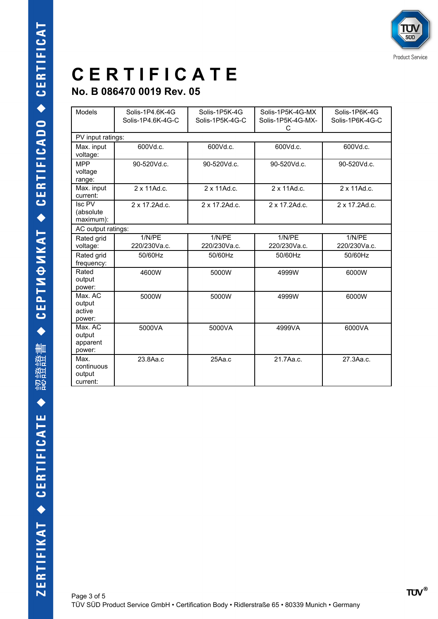### **No. B 086470 0019 Rev. 05**

| <b>Models</b>                            | Solis-1P4.6K-4G<br>Solis-1P4.6K-4G-C | Solis-1P5K-4G<br>Solis-1P5K-4G-C | Solis-1P5K-4G-MX       | Solis-1P6K-4G<br>Solis-1P6K-4G-C |
|------------------------------------------|--------------------------------------|----------------------------------|------------------------|----------------------------------|
|                                          |                                      |                                  | Solis-1P5K-4G-MX-<br>С |                                  |
| PV input ratings:                        |                                      |                                  |                        |                                  |
| Max. input<br>voltage:                   | 600Vd.c.                             | 600Vd.c.                         | 600Vd.c.               | 600Vd.c.                         |
| <b>MPP</b><br>voltage<br>range:          | 90-520Vd.c.                          | 90-520Vd.c.                      | 90-520Vd.c.            | 90-520Vd.c.                      |
| Max. input<br>current:                   | 2 x 11Ad.c.                          | 2 x 11Ad.c.                      | 2 x 11Ad.c.            | 2 x 11Ad.c.                      |
| Isc PV<br>(absolute<br>maximum):         | 2 x 17.2Ad.c.                        | 2 x 17.2Ad.c.                    | 2 x 17.2Ad.c.          | 2 x 17.2Ad.c.                    |
| AC output ratings:                       |                                      |                                  |                        |                                  |
| Rated grid<br>voltage:                   | 1/N/PE<br>220/230Va.c.               | 1/N/PE<br>220/230Va.c.           | 1/N/PE<br>220/230Va.c. | 1/N/PE<br>220/230Va.c.           |
| Rated grid<br>frequency:                 | 50/60Hz                              | 50/60Hz                          | 50/60Hz                | 50/60Hz                          |
| Rated<br>output<br>power:                | 4600W                                | 5000W                            | 4999W                  | 6000W                            |
| Max. AC<br>output<br>active<br>power:    | 5000W                                | 5000W                            | 4999W                  | 6000W                            |
| Max. AC<br>output<br>apparent<br>power:  | 5000VA                               | 5000VA                           | 4999VA                 | 6000VA                           |
| Max.<br>continuous<br>output<br>current: | 23.8Aa.c                             | 25Aa.c                           | 21.7Aa.c.              | 27.3Aa.c.                        |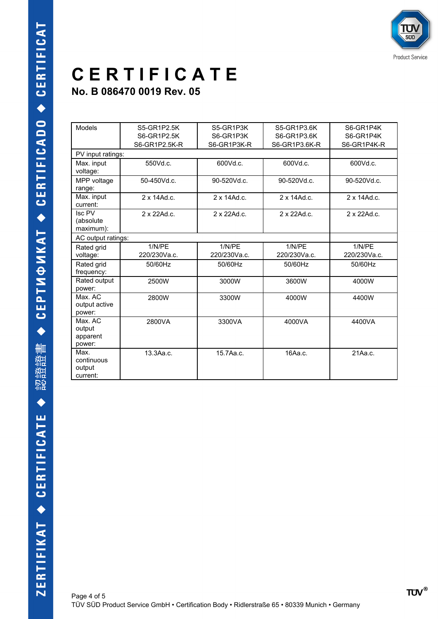**No. B 086470 0019 Rev. 05**

| <b>Models</b>                            | S5-GR1P2.5K         | S5-GR1P3K           | S5-GR1P3.6K         | S6-GR1P4K           |
|------------------------------------------|---------------------|---------------------|---------------------|---------------------|
|                                          | S6-GR1P2.5K         | S6-GR1P3K           | S6-GR1P3.6K         | S6-GR1P4K           |
|                                          | S6-GR1P2.5K-R       | S6-GR1P3K-R         | S6-GR1P3.6K-R       | S6-GR1P4K-R         |
| PV input ratings:                        |                     |                     |                     |                     |
| Max. input<br>voltage:                   | 550Vd.c.            | 600Vd.c.            | 600Vd.c.            | 600Vd.c.            |
| MPP voltage<br>range:                    | 50-450Vd.c.         | 90-520Vd.c.         | 90-520Vd.c.         | 90-520Vd.c.         |
| Max. input<br>current:                   | $2 \times 14$ Ad.c. | $2 \times 14$ Ad.c. | $2 \times 14$ Ad.c. | $2 \times 14$ Ad.c. |
| Isc PV<br>(absolute<br>maximum):         | 2 x 22Ad.c.         | 2 x 22Ad.c.         | 2 x 22Ad.c.         | 2 x 22Ad.c.         |
| AC output ratings:                       |                     |                     |                     |                     |
| Rated grid                               | 1/N/PE              | 1/N/PE              | 1/N/PE              | 1/N/PE              |
| voltage:                                 | 220/230Va.c.        | 220/230Va.c.        | 220/230Va.c.        | 220/230Va.c.        |
| Rated grid<br>frequency:                 | 50/60Hz             | 50/60Hz             | 50/60Hz             | 50/60Hz             |
| Rated output<br>power:                   | 2500W               | 3000W               | 3600W               | 4000W               |
| Max. AC<br>output active<br>power:       | 2800W               | 3300W               | 4000W               | 4400W               |
| Max. AC<br>output<br>apparent<br>power:  | 2800VA              | 3300VA              | 4000VA              | 4400VA              |
| Max.<br>continuous<br>output<br>current: | 13.3Aa.c.           | 15.7Aa.c.           | 16Aa.c.             | 21Aa.c.             |